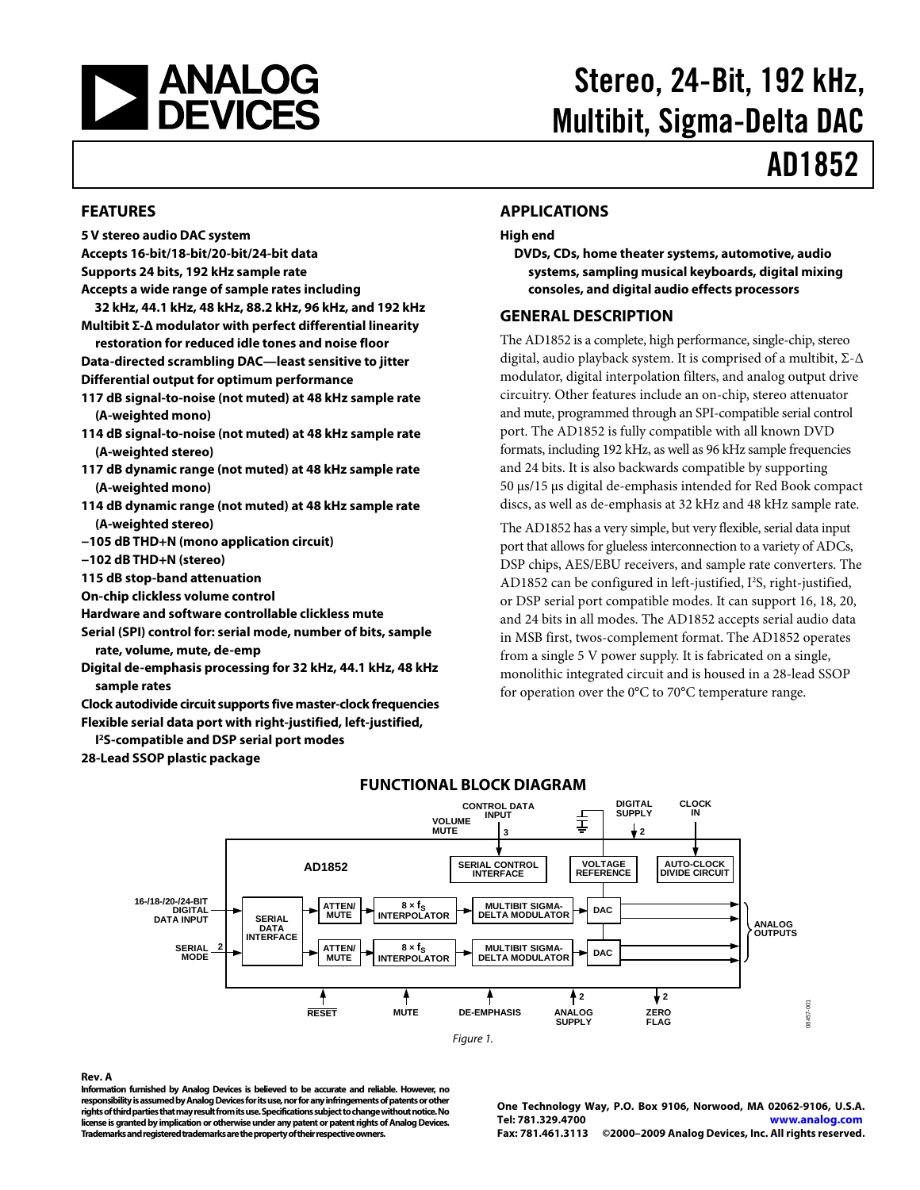<span id="page-0-0"></span>

# Stereo, 24-Bit, 192 kHz, Multibit, Sigma-Delta DAC

# AD1852

#### **FEATURES**

- **5 V stereo audio DAC system**
- **Accepts 16-bit/18-bit/20-bit/24-bit data**
- **Supports 24 bits, 192 kHz sample rate**
- **Accepts a wide range of sample rates including**
- **32 kHz, 44.1 kHz, 48 kHz, 88.2 kHz, 96 kHz, and 192 kHz Multibit Σ-Δ modulator with perfect differential linearity**
- **restoration for reduced idle tones and noise floor Data-directed scrambling DAC—least sensitive to jitter Differential output for optimum performance**
- **117 dB signal-to-noise (not muted) at 48 kHz sample rate (A-weighted mono)**
- **114 dB signal-to-noise (not muted) at 48 kHz sample rate (A-weighted stereo)**
- **117 dB dynamic range (not muted) at 48 kHz sample rate (A-weighted mono)**
- **114 dB dynamic range (not muted) at 48 kHz sample rate (A-weighted stereo)**
- **−105 dB THD+N (mono application circuit)**
- **−102 dB THD+N (stereo)**
- **115 dB stop-band attenuation**
- **On-chip clickless volume control**
- **Hardware and software controllable clickless mute**
- **Serial (SPI) control for: serial mode, number of bits, sample rate, volume, mute, de-emp**
- **Digital de-emphasis processing for 32 kHz, 44.1 kHz, 48 kHz sample rates**
- **Clock autodivide circuit supports five master-clock frequencies Flexible serial data port with right-justified, left-justified,**
- **I 2S-compatible and DSP serial port modes**

**28-Lead SSOP plastic package** 

#### **APPLICATIONS**

#### **High end**

**DVDs, CDs, home theater systems, automotive, audio systems, sampling musical keyboards, digital mixing consoles, and digital audio effects processors** 

#### **GENERAL DESCRIPTION**

The AD1852 is a complete, high performance, single-chip, stereo digital, audio playback system. It is comprised of a multibit, Σ-Δ modulator, digital interpolation filters, and analog output drive circuitry. Other features include an on-chip, stereo attenuator and mute, programmed through an SPI-compatible serial control port. The AD1852 is fully compatible with all known DVD formats, including 192 kHz, as well as 96 kHz sample frequencies and 24 bits. It is also backwards compatible by supporting 50 μs/15 μs digital de-emphasis intended for Red Book compact discs, as well as de-emphasis at 32 kHz and 48 kHz sample rate.

The AD1852 has a very simple, but very flexible, serial data input port that allows for glueless interconnection to a variety of ADCs, DSP chips, AES/EBU receivers, and sample rate converters. The AD1852 can be configured in left-justified, I<sup>2</sup>S, right-justified, or DSP serial port compatible modes. It can support 16, 18, 20, and 24 bits in all modes. The AD1852 accepts serial audio data in MSB first, twos-complement format. The AD1852 operates from a single 5 V power supply. It is fabricated on a single, monolithic integrated circuit and is housed in a 28-lead SSOP for operation over the 0°C to 70°C temperature range.



#### **FUNCTIONAL BLOCK DIAGRAM**

#### **Rev. A**

**Information furnished by Analog Devices is believed to be accurate and reliable. However, no responsibility is assumed by Analog Devices for its use, nor for any infringements of patents or other rights of third parties that may result from its use. Specifications subject to change without notice. No license is granted by implication or otherwise under any patent or patent rights of Analog Devices. Trademarks and registered trademarks are the property of their respective owners.** 

**One Technology Way, P.O. Box 9106, Norwood, MA 02062-9106, U.S.A. Tel: 781.329.4700 www.analog.com Fax: 781.461.3113 ©2000–2009 Analog Devices, Inc. All rights reserved.**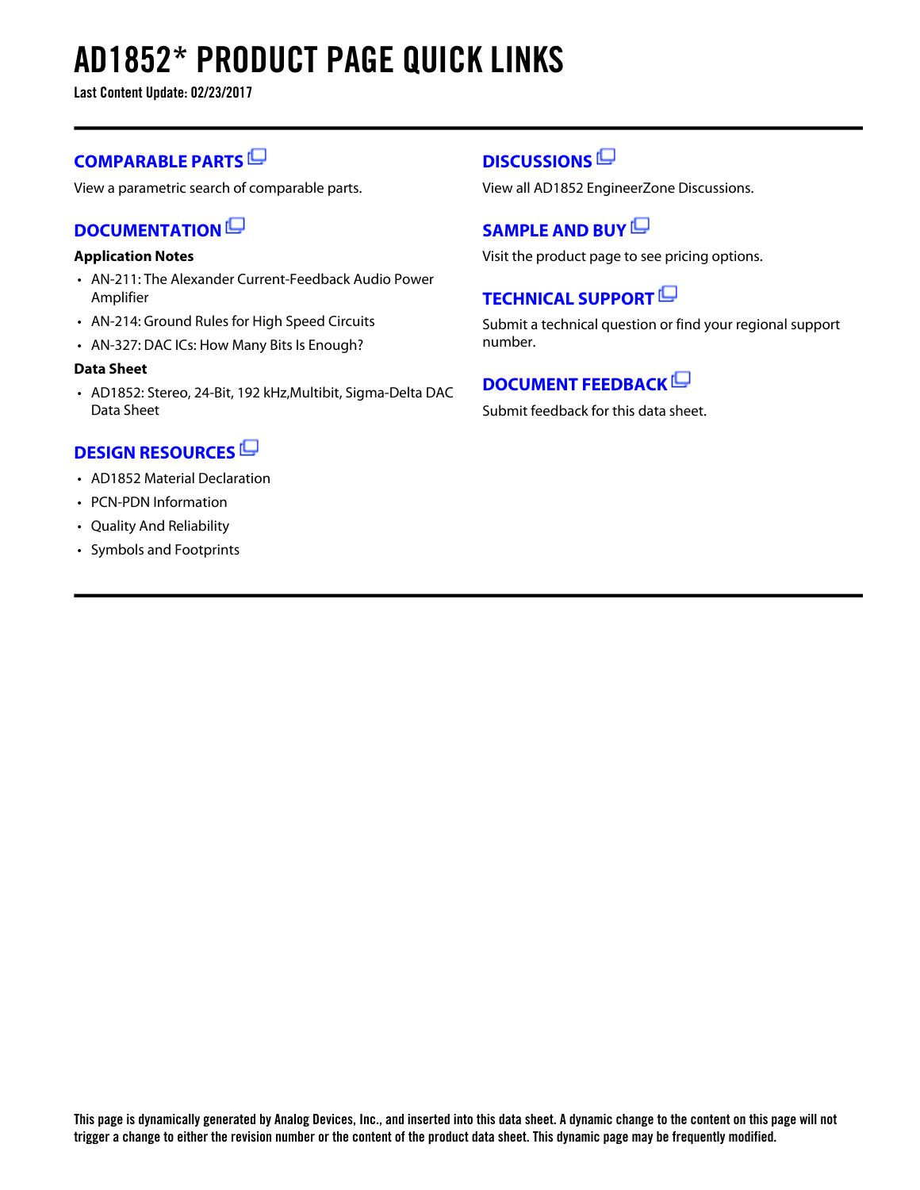# **AD1852\* PRODUCT PAGE QUICK LINKS**

**Last Content Update: 02/23/2017**

### **[COMPARABLE PARTS](http://www.analog.com/parametricsearch/en/11079?doc=AD1852.pdf&p0=1&lsrc=pst)**

View a parametric search of comparable parts.

### **[DOCUMENTATION](http://www.analog.com/ad1852/documentation?doc=AD1852.pdf&p0=1&lsrc=doc)**

#### **Application Notes**

- AN-211: The Alexander Current-Feedback Audio Power Amplifier
- AN-214: Ground Rules for High Speed Circuits
- AN-327: DAC ICs: How Many Bits Is Enough?

#### **Data Sheet**

• AD1852: Stereo, 24-Bit, 192 kHz,Multibit, Sigma-Delta DAC Data Sheet

### **[DESIGN RESOURCES](http://www.analog.com/ad1852/designsources?doc=AD1852.pdf&p0=1&lsrc=dr)**

- AD1852 Material Declaration
- PCN-PDN Information
- Quality And Reliability
- Symbols and Footprints

### **[DISCUSSIONS](http://www.analog.com/ad1852/discussions?doc=AD1852.pdf&p0=1&lsrc=disc)**

View all AD1852 EngineerZone Discussions.

### **[SAMPLE AND BUY](http://www.analog.com/ad1852/sampleandbuy?doc=AD1852.pdf&p0=1&lsrc=sb)**

Visit the product page to see pricing options.

### **[TECHNICAL SUPPORT](http://www.analog.com/support/technical-support.html?doc=AD1852.pdf&p0=1&lsrc=techs)**

Submit a technical question or find your regional support number.

### **[DOCUMENT FEEDBACK](https://form.analog.com/Form_Pages/feedback/documentfeedback.aspx?doc=AD1852.pdf&product=AD1852&p0=1&lsrc=dfs)**

Submit feedback for this data sheet.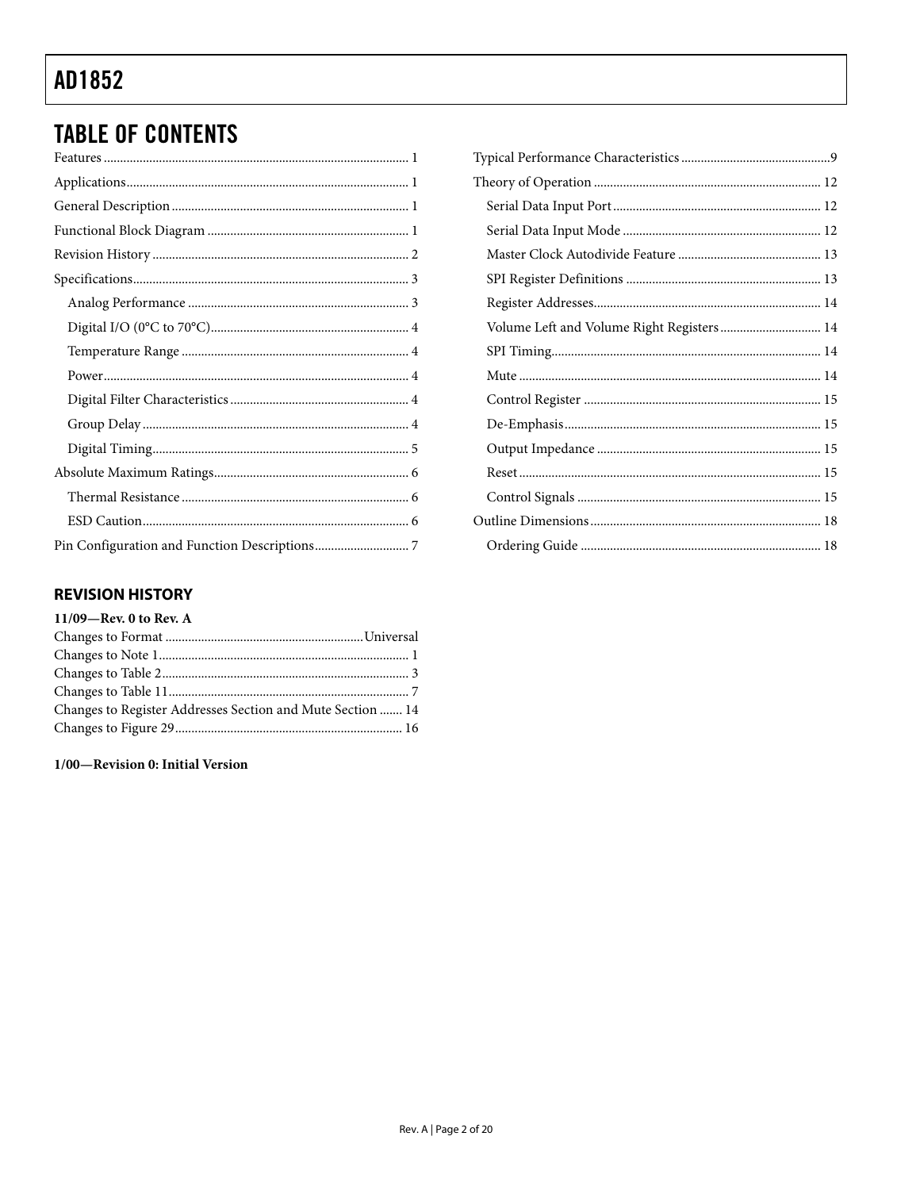# <span id="page-2-0"></span>**TABLE OF CONTENTS**

#### Volume Left and Volume Right Registers............................... 14 4 4 4 4 4 5 6 6 6

#### **REVISION HISTORY**

### $11/09$ –Rev. 0 to Rev. A

| Changes to Register Addresses Section and Mute Section  14 |  |
|------------------------------------------------------------|--|
|                                                            |  |

#### 1/00-Revision 0: Initial Version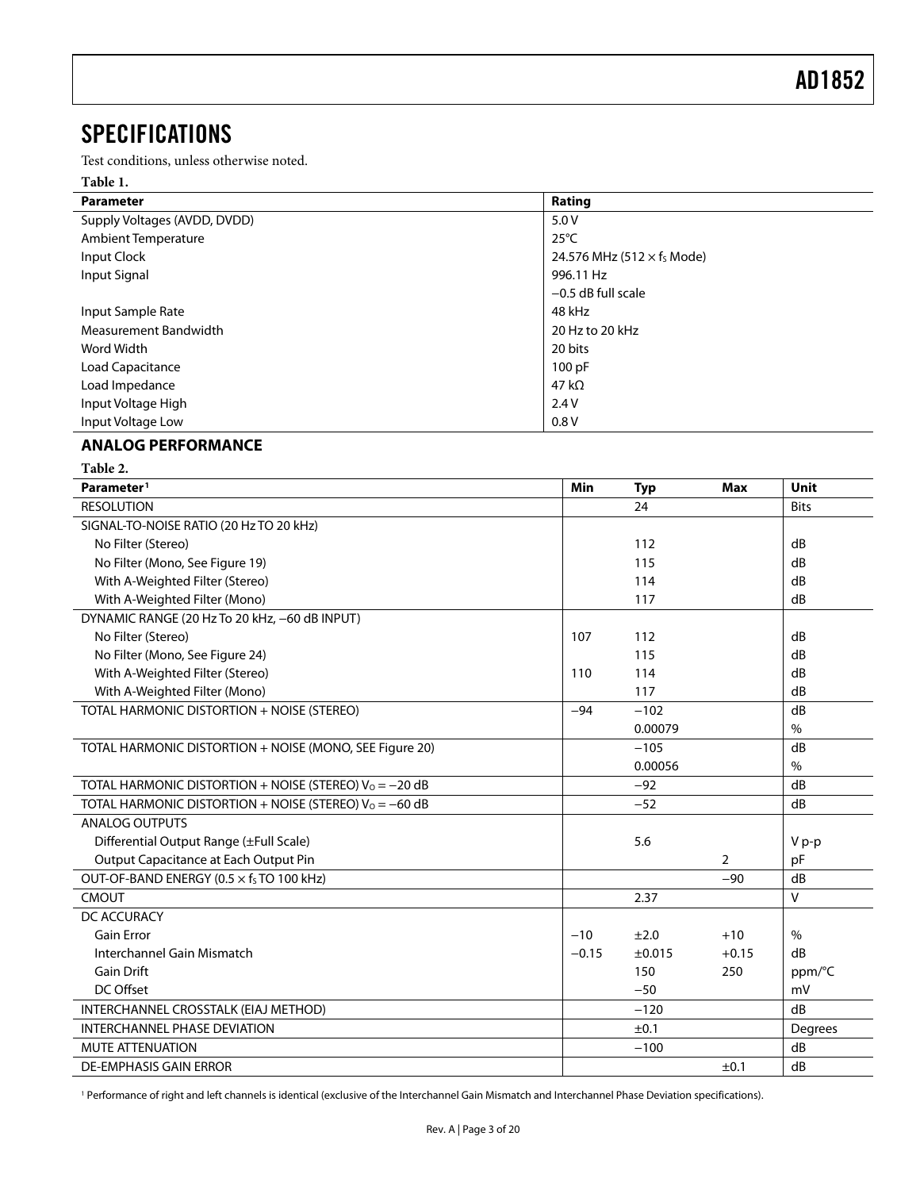### <span id="page-3-0"></span>**SPECIFICATIONS**

Test conditions, unless otherwise noted.

#### **Table 1.**

| <b>Parameter</b>             | Rating                                        |
|------------------------------|-----------------------------------------------|
| Supply Voltages (AVDD, DVDD) | 5.0V                                          |
| Ambient Temperature          | $25^{\circ}$ C                                |
| Input Clock                  | 24.576 MHz (512 $\times$ f <sub>s</sub> Mode) |
| Input Signal                 | 996.11 Hz                                     |
|                              | $-0.5$ dB full scale                          |
| Input Sample Rate            | 48 kHz                                        |
| Measurement Bandwidth        | 20 Hz to 20 kHz                               |
| Word Width                   | 20 bits                                       |
| Load Capacitance             | 100 pF                                        |
| Load Impedance               | 47 k $\Omega$                                 |
| Input Voltage High           | 2.4V                                          |
| Input Voltage Low            | 0.8V                                          |

#### **ANALOG PERFORMANCE**

| Table 2.                                                  |         |            |                |               |
|-----------------------------------------------------------|---------|------------|----------------|---------------|
| Parameter <sup>1</sup>                                    | Min     | <b>Typ</b> | <b>Max</b>     | Unit          |
| <b>RESOLUTION</b>                                         |         | 24         |                | <b>Bits</b>   |
| SIGNAL-TO-NOISE RATIO (20 Hz TO 20 kHz)                   |         |            |                |               |
| No Filter (Stereo)                                        |         | 112        |                | dB            |
| No Filter (Mono, See Figure 19)                           |         | 115        |                | dB            |
| With A-Weighted Filter (Stereo)                           |         | 114        |                | dB            |
| With A-Weighted Filter (Mono)                             |         | 117        |                | dB            |
| DYNAMIC RANGE (20 Hz To 20 kHz, -60 dB INPUT)             |         |            |                |               |
| No Filter (Stereo)                                        | 107     | 112        |                | dB            |
| No Filter (Mono, See Figure 24)                           |         | 115        |                | dB            |
| With A-Weighted Filter (Stereo)                           | 110     | 114        |                | dB            |
| With A-Weighted Filter (Mono)                             |         | 117        |                | dB            |
| TOTAL HARMONIC DISTORTION + NOISE (STEREO)                | $-94$   | $-102$     |                | dB            |
|                                                           |         | 0.00079    |                | $\%$          |
| TOTAL HARMONIC DISTORTION + NOISE (MONO, SEE Figure 20)   |         | $-105$     |                | dB            |
|                                                           |         | 0.00056    |                | $\%$          |
| TOTAL HARMONIC DISTORTION + NOISE (STEREO) $V_0 = -20$ dB |         | $-92$      |                | dB            |
| TOTAL HARMONIC DISTORTION + NOISE (STEREO) $V_0 = -60$ dB |         | $-52$      |                | dB            |
| <b>ANALOG OUTPUTS</b>                                     |         |            |                |               |
| Differential Output Range (±Full Scale)                   |         | 5.6        |                | V p-p         |
| Output Capacitance at Each Output Pin                     |         |            | $\overline{2}$ | pF            |
| OUT-OF-BAND ENERGY (0.5 x fs TO 100 kHz)                  |         |            | $-90$          | dB            |
| <b>CMOUT</b>                                              |         | 2.37       |                | V             |
| DC ACCURACY                                               |         |            |                |               |
| <b>Gain Error</b>                                         | $-10$   | ±2.0       | $+10$          | $\frac{0}{0}$ |
| Interchannel Gain Mismatch                                | $-0.15$ | ±0.015     | $+0.15$        | dB            |
| <b>Gain Drift</b>                                         |         | 150        | 250            | ppm/°C        |
| DC Offset                                                 |         | $-50$      |                | mV            |
| INTERCHANNEL CROSSTALK (EIAJ METHOD)                      |         | $-120$     |                | dB            |
| <b>INTERCHANNEL PHASE DEVIATION</b>                       |         | ±0.1       |                | Degrees       |
| <b>MUTE ATTENUATION</b>                                   |         | $-100$     |                | dB            |
| <b>DE-EMPHASIS GAIN ERROR</b>                             |         |            | ±0.1           | dB            |

1 Performance of right and left channels is identical (exclusive of the Interchannel Gain Mismatch and Interchannel Phase Deviation specifications).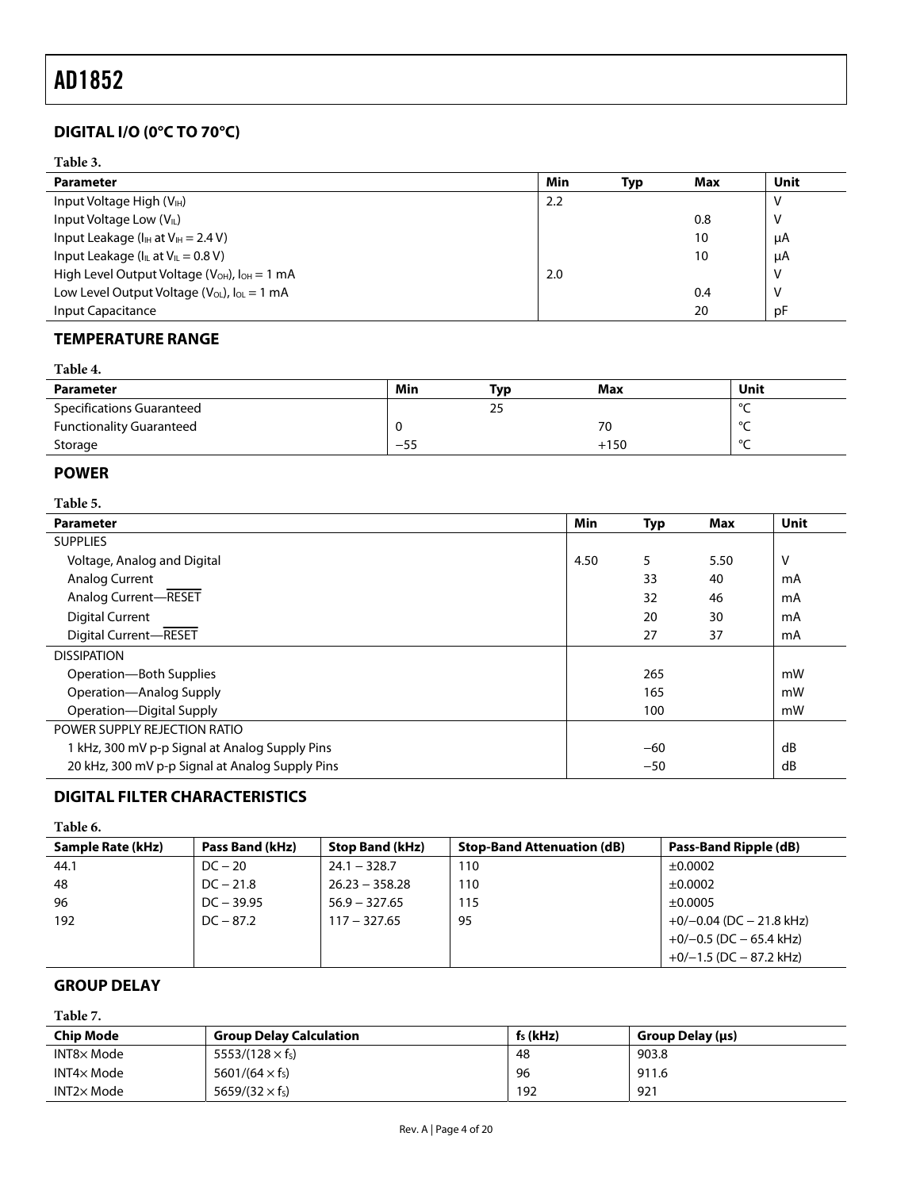### <span id="page-4-0"></span>**DIGITAL I/O (0°C TO 70°C)**

#### **Table 3.**

| <b>Parameter</b>                                                | Min | Typ | Max | Unit |
|-----------------------------------------------------------------|-----|-----|-----|------|
| Input Voltage High $(V_{IH})$                                   | 2.2 |     |     | v    |
| Input Voltage Low $(VII)$                                       |     |     | 0.8 | ٧    |
| Input Leakage ( $I_{IH}$ at $V_{IH} = 2.4 V$ )                  |     |     | 10  | μA   |
| Input Leakage ( $I_{IL}$ at $V_{IL}$ = 0.8 V)                   |     |     | 10  | μA   |
| High Level Output Voltage ( $V_{OH}$ ), $I_{OH} = 1 \text{ mA}$ | 2.0 |     |     | ٧    |
| Low Level Output Voltage ( $V_{OL}$ ), $I_{OL} = 1$ mA          |     |     | 0.4 | ٧    |
| <b>Input Capacitance</b>                                        |     |     | 20  | pF   |

#### **TEMPERATURE RANGE**

| <b>Parameter</b>                 | Min   | Typ | Max    | Unit   |
|----------------------------------|-------|-----|--------|--------|
| <b>Specifications Guaranteed</b> |       | 25  |        | $\sim$ |
| <b>Functionality Guaranteed</b>  |       |     | 70     | $\sim$ |
| Storage                          | $-55$ |     | $+150$ | $\sim$ |

#### **POWER**

#### **Table 5.**

| <b>Parameter</b>                                | Min  | <b>Typ</b> | Max  | Unit |
|-------------------------------------------------|------|------------|------|------|
| <b>SUPPLIES</b>                                 |      |            |      |      |
| Voltage, Analog and Digital                     | 4.50 | 5          | 5.50 | v    |
| Analog Current                                  |      | 33         | 40   | mA   |
| Analog Current-RESET                            |      | 32         | 46   | mA   |
| <b>Digital Current</b>                          |      | 20         | 30   | mA   |
| Digital Current-RESET                           |      | 27         | 37   | mA   |
| <b>DISSIPATION</b>                              |      |            |      |      |
| Operation-Both Supplies                         |      | 265        |      | mW   |
| Operation-Analog Supply                         |      | 165        |      | mW   |
| Operation-Digital Supply                        |      | 100        |      | mW   |
| POWER SUPPLY REJECTION RATIO                    |      |            |      |      |
| 1 kHz, 300 mV p-p Signal at Analog Supply Pins  |      | $-60$      |      | dB   |
| 20 kHz, 300 mV p-p Signal at Analog Supply Pins |      | $-50$      |      | dB   |

### **DIGITAL FILTER CHARACTERISTICS**

#### **Table 6.**

| Sample Rate (kHz) | Pass Band (kHz) | <b>Stop Band (kHz)</b> | <b>Stop-Band Attenuation (dB)</b> | Pass-Band Ripple (dB)       |
|-------------------|-----------------|------------------------|-----------------------------------|-----------------------------|
| 44.1              | $DC - 20$       | $24.1 - 328.7$         | 110                               | ±0.0002                     |
| 48                | $DC - 21.8$     | $26.23 - 358.28$       | 110                               | ±0.0002                     |
| 96                | $DC - 39.95$    | $56.9 - 327.65$        | 115                               | ±0.0005                     |
| 192               | $DC - 87.2$     | $117 - 327.65$         | 95                                | $+0/-0.04$ (DC $-21.8$ kHz) |
|                   |                 |                        |                                   | $+0/-0.5$ (DC $-65.4$ kHz)  |
|                   |                 |                        |                                   | $+0/-1.5$ (DC $-87.2$ kHz)  |

#### **GROUP DELAY**

#### **Table 7.**

| <b>Chip Mode</b>  | <b>Group Delay Calculation</b>     | $fs$ (kHz) | Group Delay (µs) |
|-------------------|------------------------------------|------------|------------------|
| $INT8\times$ Mode | $5553/(128 \times f_s)$            | -48        | 903.8            |
| INT4× Mode        | 5601/(64 $\times$ f <sub>s</sub> ) | 96         | 911.6            |
| $INT2\times Mode$ | 5659/(32 $\times$ f <sub>s</sub> ) | 192        | 921              |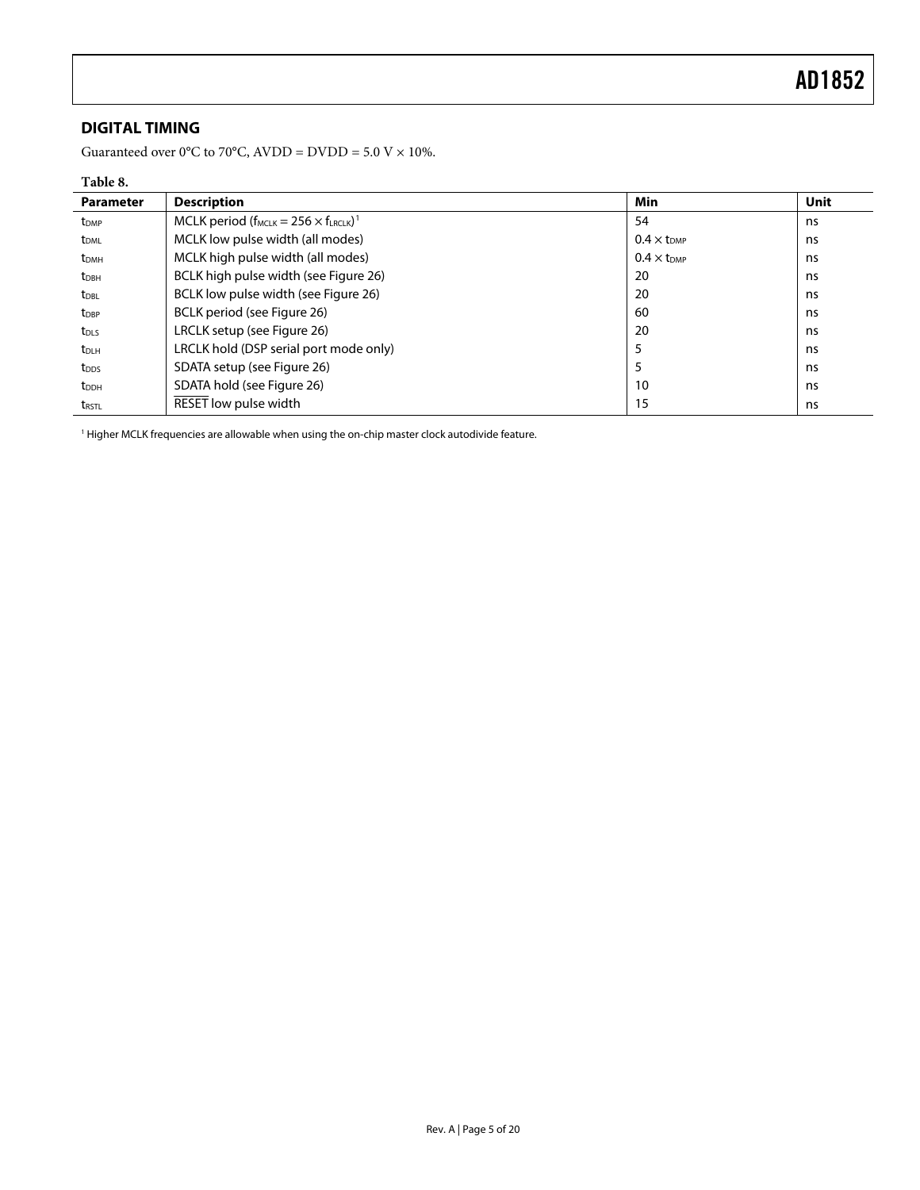### <span id="page-5-0"></span>**DIGITAL TIMING**

Guaranteed over 0°C to 70°C, AVDD = DVDD = 5.0 V  $\times$  10%.

#### **Table 8.**

| <b>Parameter</b>        | <b>Description</b>                                                 | <b>Min</b>                    | <b>Unit</b> |
|-------------------------|--------------------------------------------------------------------|-------------------------------|-------------|
| t <sub>DMP</sub>        | MCLK period ( $f_{MCLK}$ = 256 $\times$ $f_{LRCLK}$ ) <sup>1</sup> | 54                            | ns          |
| t <sub>DML</sub>        | MCLK low pulse width (all modes)                                   | $0.4 \times t_{DMP}$          | ns          |
| <b>t</b> <sub>DMH</sub> | MCLK high pulse width (all modes)                                  | $0.4 \times$ t <sub>DMP</sub> | ns          |
| $t_{DBH}$               | BCLK high pulse width (see Figure 26)                              | 20                            | ns          |
| t <sub>DBL</sub>        | BCLK low pulse width (see Figure 26)                               | 20                            | ns          |
| $t_{\text{DBP}}$        | BCLK period (see Figure 26)                                        | 60                            | ns          |
| t <sub>DLS</sub>        | LRCLK setup (see Figure 26)                                        | 20                            | ns          |
| t <sub>DLH</sub>        | LRCLK hold (DSP serial port mode only)                             | 5                             | ns          |
| t <sub>DDS</sub>        | SDATA setup (see Figure 26)                                        | 5                             | ns          |
| <b>t</b> <sub>DDH</sub> | SDATA hold (see Figure 26)                                         | 10                            | ns          |
| <b>t</b> rstl           | RESET low pulse width                                              | 15                            | ns          |

<sup>1</sup> Higher MCLK frequencies are allowable when using the on-chip master clock autodivide feature.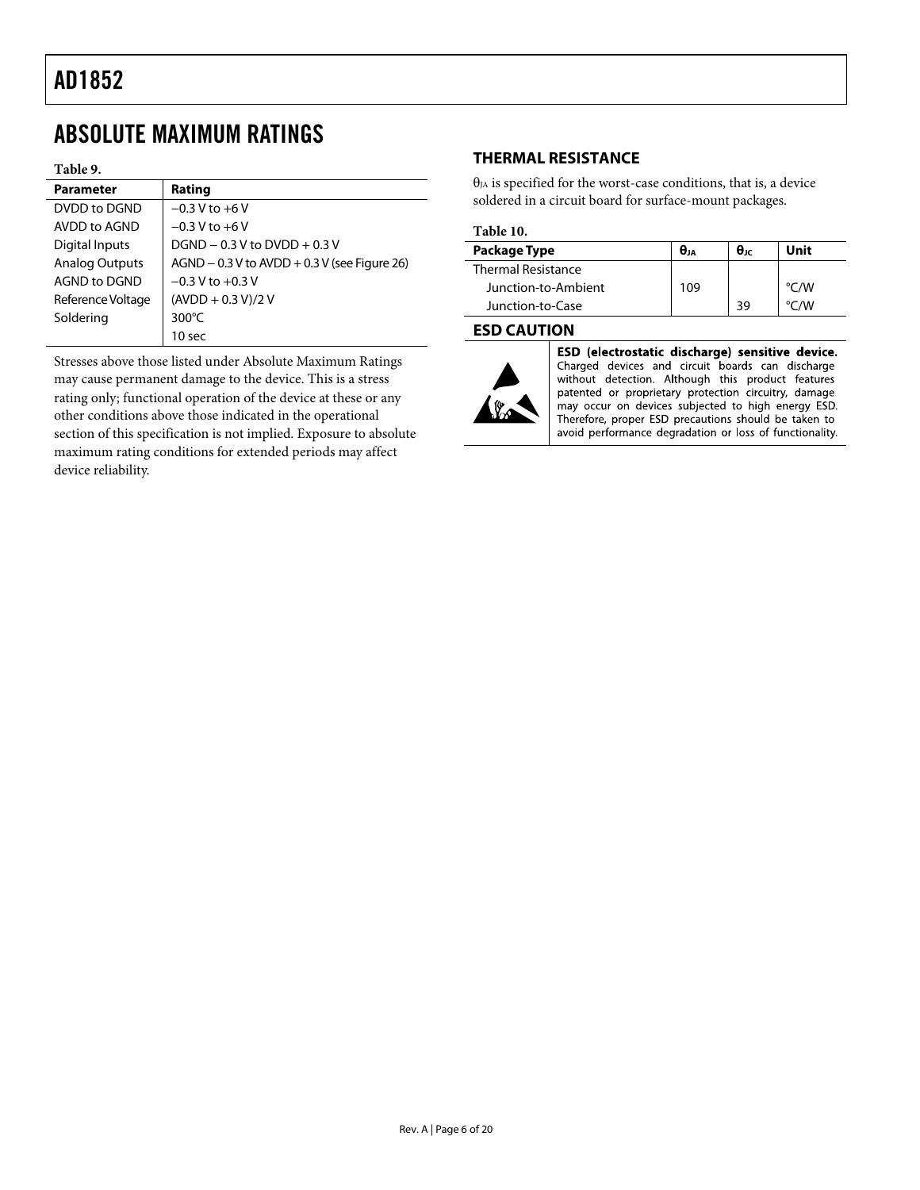# <span id="page-6-0"></span>ABSOLUTE MAXIMUM RATINGS

#### **Table 9.**

| <b>Parameter</b>      | Rating                                           |
|-----------------------|--------------------------------------------------|
| DVDD to DGND          | $-0.3 V$ to $+6 V$                               |
| AVDD to AGND          | $-0.3 V$ to $+6 V$                               |
| <b>Digital Inputs</b> | $DGND - 0.3 V$ to $DVDD + 0.3 V$                 |
| <b>Analog Outputs</b> | $AGND - 0.3 V$ to $AVDD + 0.3 V$ (see Figure 26) |
| AGND to DGND          | $-0.3$ V to $+0.3$ V                             |
| Reference Voltage     | $(AVDD + 0.3 V)/2 V$                             |
| Soldering             | 300 $\degree$ C                                  |
|                       | 10 sec                                           |

Stresses above those listed under Absolute Maximum Ratings may cause permanent damage to the device. This is a stress rating only; functional operation of the device at these or any other conditions above those indicated in the operational section of this specification is not implied. Exposure to absolute maximum rating conditions for extended periods may affect device reliability.

#### **THERMAL RESISTANCE**

 $\theta_{JA}$  is specified for the worst-case conditions, that is, a device soldered in a circuit board for surface-mount packages.

#### **Table 10.**

| Package Type              | θи  | $\theta$ ıc | Unit               |
|---------------------------|-----|-------------|--------------------|
| <b>Thermal Resistance</b> |     |             |                    |
| Junction-to-Ambient       | 109 |             | $\rm ^{\circ}$ C/W |
| Junction-to-Case          |     | 39          | °C∧W               |

#### **ESD CAUTION**



ESD (electrostatic discharge) sensitive device. Charged devices and circuit boards can discharge<br>without detection. Although this product features patented or proprietary protection circuitry, damage may occur on devices subjected to high energy ESD. Therefore, proper ESD precautions should be taken to avoid performance degradation or loss of functionality.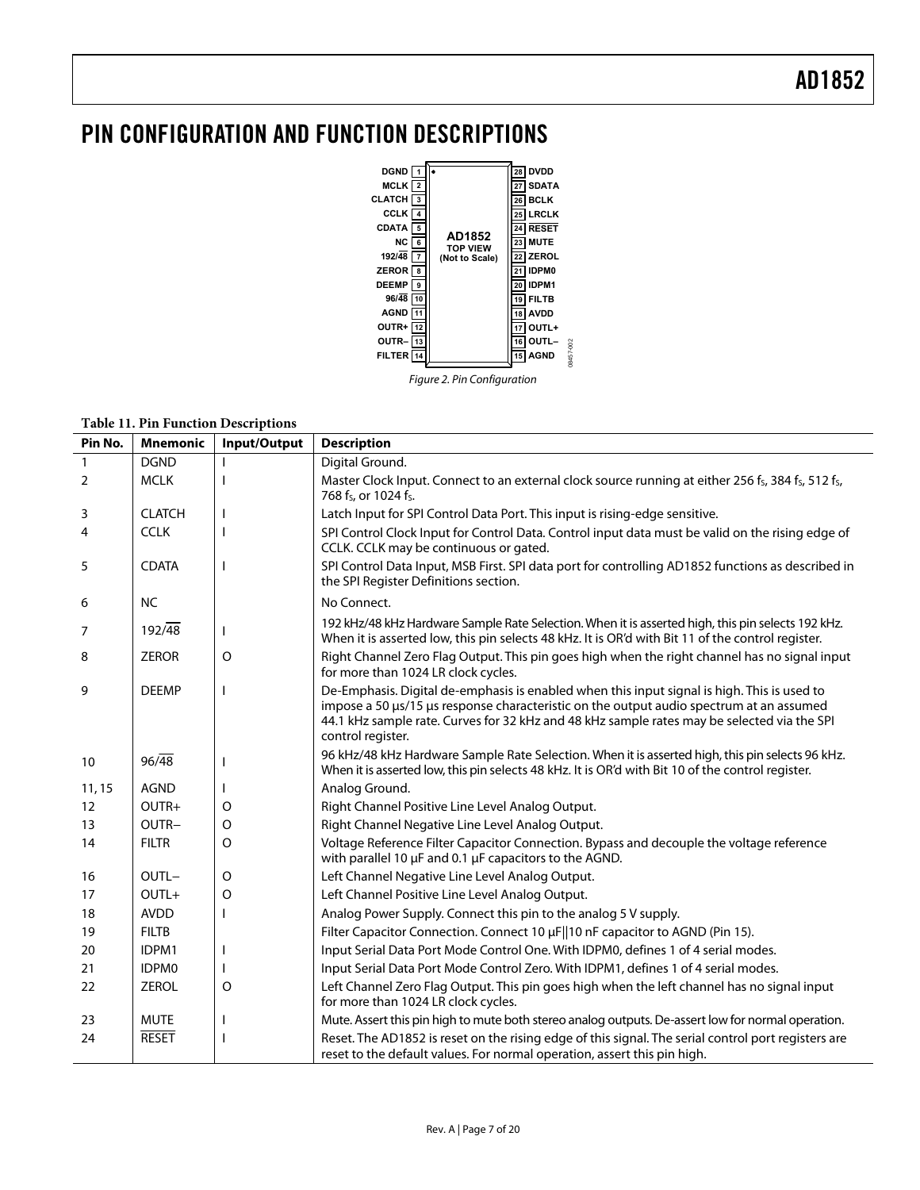### <span id="page-7-0"></span>PIN CONFIGURATION AND FUNCTION DESCRIPTIONS



Figure 2. Pin Configuration

#### **Table 11. Pin Function Descriptions**

| Pin No. | <b>Mnemonic</b>     | Input/Output | <b>Description</b>                                                                                                                                                                                                                                                                                         |
|---------|---------------------|--------------|------------------------------------------------------------------------------------------------------------------------------------------------------------------------------------------------------------------------------------------------------------------------------------------------------------|
|         | <b>DGND</b>         |              | Digital Ground.                                                                                                                                                                                                                                                                                            |
| 2       | <b>MCLK</b>         |              | Master Clock Input. Connect to an external clock source running at either 256 fs, 384 fs, 512 fs,<br>768 fs, or 1024 fs.                                                                                                                                                                                   |
| 3       | <b>CLATCH</b>       | ı            | Latch Input for SPI Control Data Port. This input is rising-edge sensitive.                                                                                                                                                                                                                                |
| 4       | <b>CCLK</b>         |              | SPI Control Clock Input for Control Data. Control input data must be valid on the rising edge of<br>CCLK. CCLK may be continuous or gated.                                                                                                                                                                 |
| 5       | <b>CDATA</b>        |              | SPI Control Data Input, MSB First. SPI data port for controlling AD1852 functions as described in<br>the SPI Register Definitions section.                                                                                                                                                                 |
| 6       | <b>NC</b>           |              | No Connect.                                                                                                                                                                                                                                                                                                |
| 7       | $192/\overline{48}$ | $\mathbf{I}$ | 192 kHz/48 kHz Hardware Sample Rate Selection. When it is asserted high, this pin selects 192 kHz.<br>When it is asserted low, this pin selects 48 kHz. It is OR'd with Bit 11 of the control register.                                                                                                    |
| 8       | <b>ZEROR</b>        | $\Omega$     | Right Channel Zero Flag Output. This pin goes high when the right channel has no signal input<br>for more than 1024 LR clock cycles.                                                                                                                                                                       |
| 9       | <b>DEEMP</b>        |              | De-Emphasis. Digital de-emphasis is enabled when this input signal is high. This is used to<br>impose a 50 µs/15 µs response characteristic on the output audio spectrum at an assumed<br>44.1 kHz sample rate. Curves for 32 kHz and 48 kHz sample rates may be selected via the SPI<br>control register. |
| 10      | $96/\overline{48}$  |              | 96 kHz/48 kHz Hardware Sample Rate Selection. When it is asserted high, this pin selects 96 kHz.<br>When it is asserted low, this pin selects 48 kHz. It is OR'd with Bit 10 of the control register.                                                                                                      |
| 11, 15  | <b>AGND</b>         |              | Analog Ground.                                                                                                                                                                                                                                                                                             |
| 12      | OUTR+               | O            | Right Channel Positive Line Level Analog Output.                                                                                                                                                                                                                                                           |
| 13      | OUTR-               | O            | Right Channel Negative Line Level Analog Output.                                                                                                                                                                                                                                                           |
| 14      | <b>FILTR</b>        | $\circ$      | Voltage Reference Filter Capacitor Connection. Bypass and decouple the voltage reference<br>with parallel 10 µF and 0.1 µF capacitors to the AGND.                                                                                                                                                         |
| 16      | OUTL-               | $\circ$      | Left Channel Negative Line Level Analog Output.                                                                                                                                                                                                                                                            |
| 17      | $OUTL+$             | O            | Left Channel Positive Line Level Analog Output.                                                                                                                                                                                                                                                            |
| 18      | <b>AVDD</b>         |              | Analog Power Supply. Connect this pin to the analog 5 V supply.                                                                                                                                                                                                                                            |
| 19      | <b>FILTB</b>        |              | Filter Capacitor Connection. Connect 10 µF  10 nF capacitor to AGND (Pin 15).                                                                                                                                                                                                                              |
| 20      | IDPM1               |              | Input Serial Data Port Mode Control One. With IDPM0, defines 1 of 4 serial modes.                                                                                                                                                                                                                          |
| 21      | IDPM0               |              | Input Serial Data Port Mode Control Zero. With IDPM1, defines 1 of 4 serial modes.                                                                                                                                                                                                                         |
| 22      | <b>ZEROL</b>        | $\circ$      | Left Channel Zero Flag Output. This pin goes high when the left channel has no signal input<br>for more than 1024 LR clock cycles.                                                                                                                                                                         |
| 23      | <b>MUTE</b>         |              | Mute. Assert this pin high to mute both stereo analog outputs. De-assert low for normal operation.                                                                                                                                                                                                         |
| 24      | <b>RESET</b>        |              | Reset. The AD1852 is reset on the rising edge of this signal. The serial control port registers are<br>reset to the default values. For normal operation, assert this pin high.                                                                                                                            |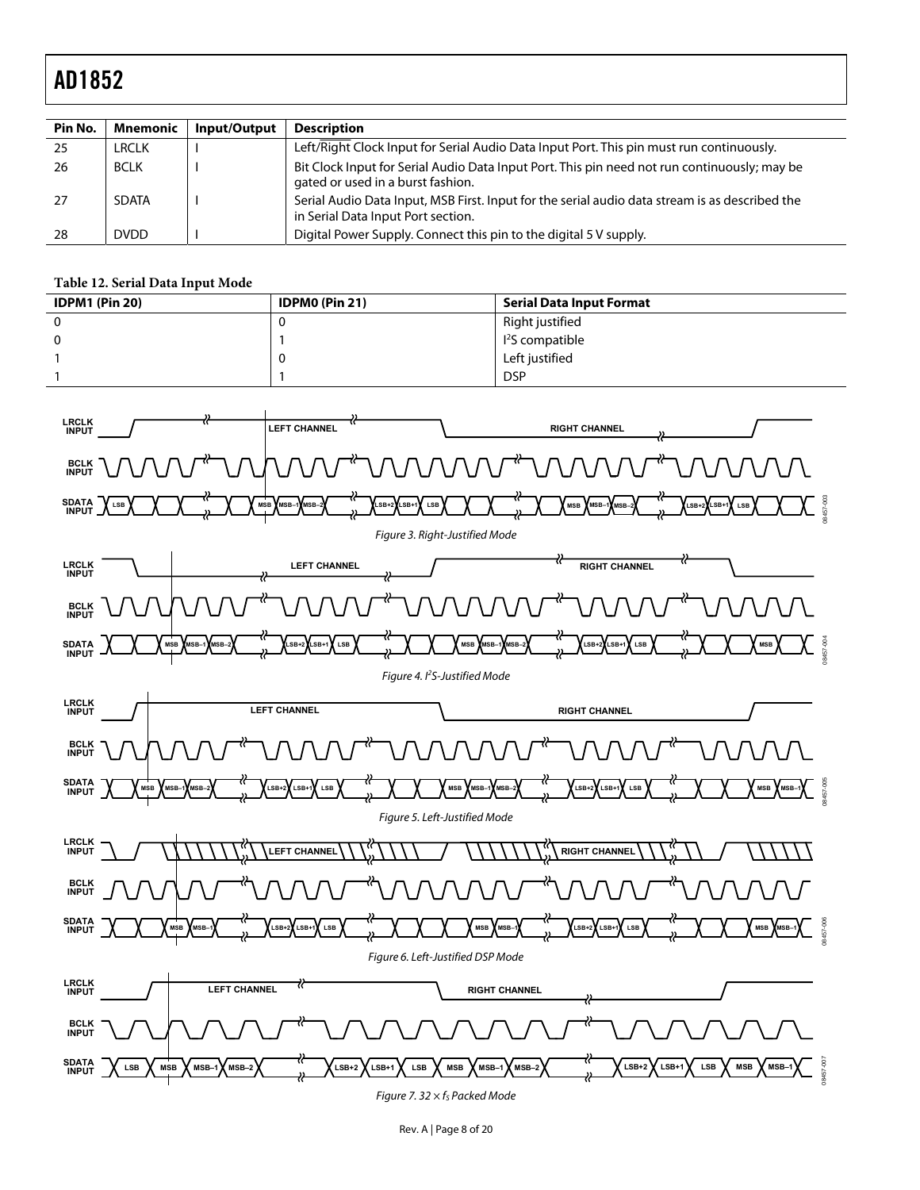| Pin No. | <b>Mnemonic</b> | Input/Output | <b>Description</b>                                                                                                                   |
|---------|-----------------|--------------|--------------------------------------------------------------------------------------------------------------------------------------|
| 25      | LRCLK           |              | Left/Right Clock Input for Serial Audio Data Input Port. This pin must run continuously.                                             |
| -26     | <b>BCLK</b>     |              | Bit Clock Input for Serial Audio Data Input Port. This pin need not run continuously; may be<br>gated or used in a burst fashion.    |
| 27      | <b>SDATA</b>    |              | Serial Audio Data Input, MSB First. Input for the serial audio data stream is as described the<br>in Serial Data Input Port section. |
| 28      | <b>DVDD</b>     |              | Digital Power Supply. Connect this pin to the digital 5 V supply.                                                                    |

#### **Table 12. Serial Data Input Mode**

<span id="page-8-0"></span>

| <b>IDPM1 (Pin 20)</b> | <b>IDPMO (Pin 21)</b> | <b>Serial Data Input Format</b> |
|-----------------------|-----------------------|---------------------------------|
|                       | ⊾                     | Right justified                 |
|                       |                       | I <sup>2</sup> S compatible     |
|                       |                       | Left justified                  |
|                       |                       | <b>DSP</b>                      |

<span id="page-8-5"></span><span id="page-8-4"></span><span id="page-8-3"></span><span id="page-8-2"></span><span id="page-8-1"></span>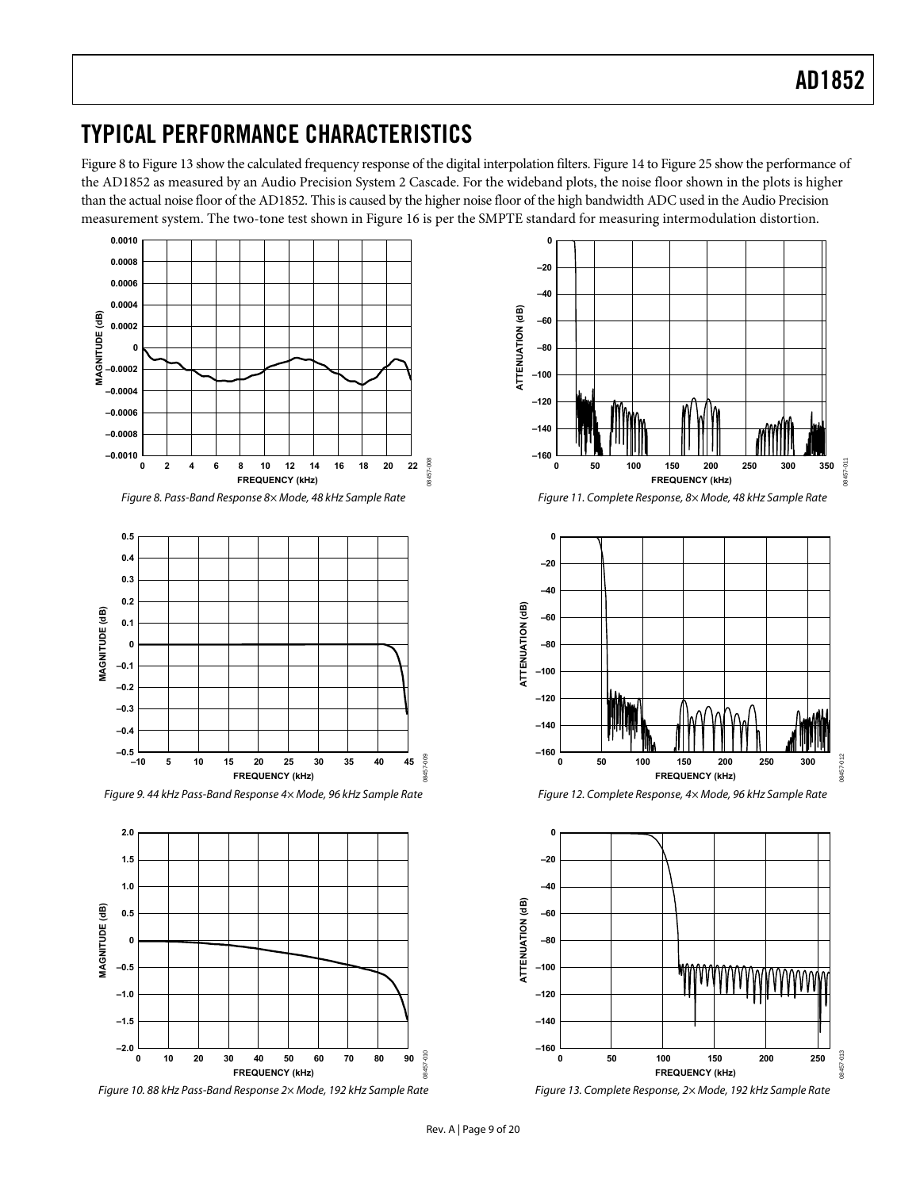### <span id="page-9-0"></span>TYPICAL PERFORMANCE CHARACTERISTICS

[Figure 8](#page-9-1) to [Figure 13](#page-9-2) show the calculated frequency response of the digital interpolation filters. [Figure 14](#page-10-1) to [Figure 25](#page-11-2) show the performance of the AD1852 as measured by an Audio Precision System 2 Cascade. For the wideband plots, the noise floor shown in the plots is higher than the actual noise floor of the AD1852. This is caused by the higher noise floor of the high bandwidth ADC used in the Audio Precision measurement system. The two-tone test shown in [Figure 16](#page-10-0) is per the SMPTE standard for measuring intermodulation distortion.



<span id="page-9-1"></span>

Figure 9. 44 kHz Pass-Band Response 4× Mode, 96 kHz Sample Rate Figure 12. Complete Response, 4× Mode, 96 kHz Sample Rate



<span id="page-9-2"></span>



Figure 8. Pass-Band Response 8× Mode, 48 kHz Sample Rate Figure 11. Complete Response, 8× Mode, 48 kHz Sample Rate



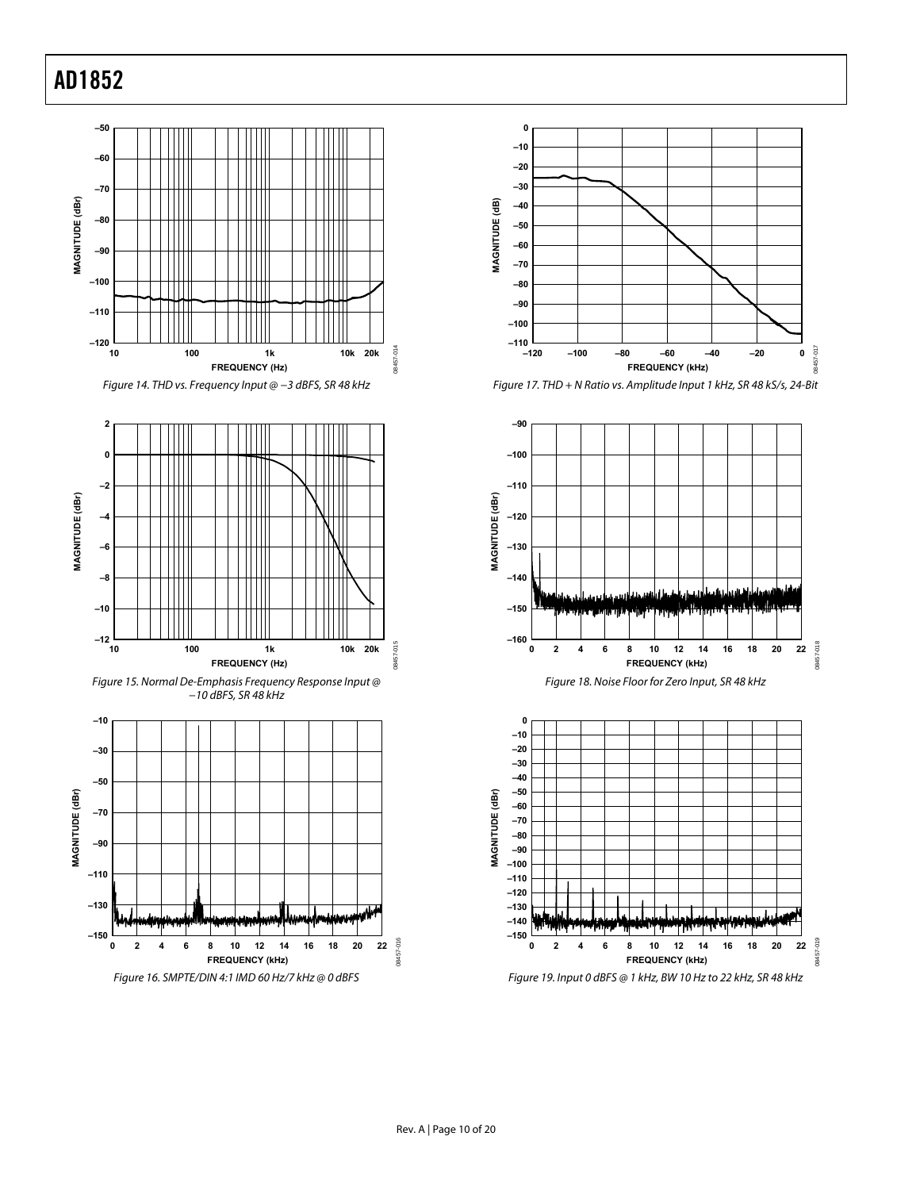

<span id="page-10-1"></span>

<span id="page-10-0"></span>



Figure 17. THD + N Ratio vs. Amplitude Input 1 kHz, SR 48 kS/s, 24-Bit



Figure 19. Input 0 dBFS @ 1 kHz, BW 10 Hz to 22 kHz, SR 48 kHz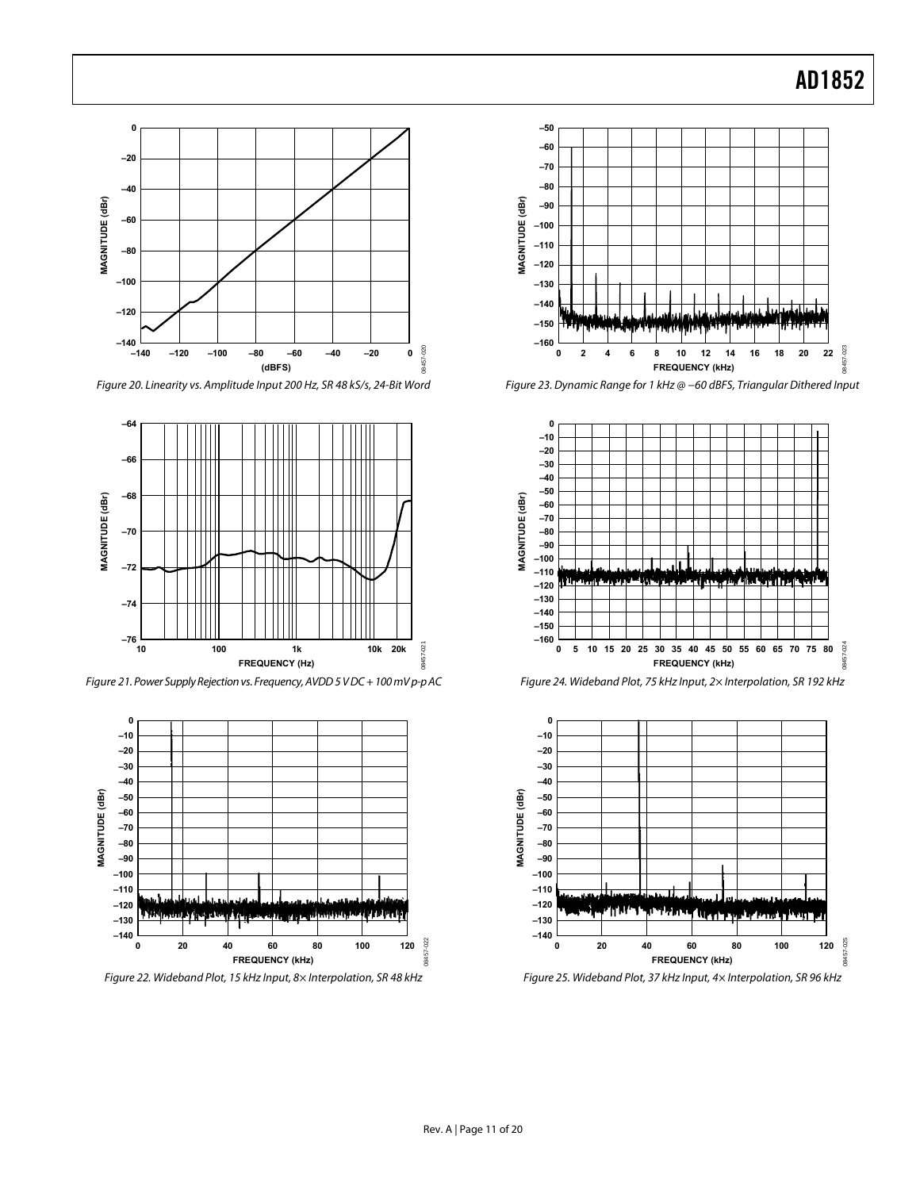

<span id="page-11-1"></span>Figure 20. Linearity vs. Amplitude Input 200 Hz, SR 48 kS/s, 24-Bit Word Figure 23. Dynamic Range for 1 kHz @ −60 dBFS, Triangular Dithered Input



<span id="page-11-0"></span>Figure 21. Power Supply Rejection vs. Frequency, AVDD 5 V DC + 100 mV p-p AC Figure 24. Wideband Plot, 75 kHz Input, 2× Interpolation, SR 192 kHz



Figure 22. Wideband Plot, 15 kHz Input, 8× Interpolation, SR 48 kHz Figure 25. Wideband Plot, 37 kHz Input, 4× Interpolation, SR 96 kHz







<span id="page-11-2"></span>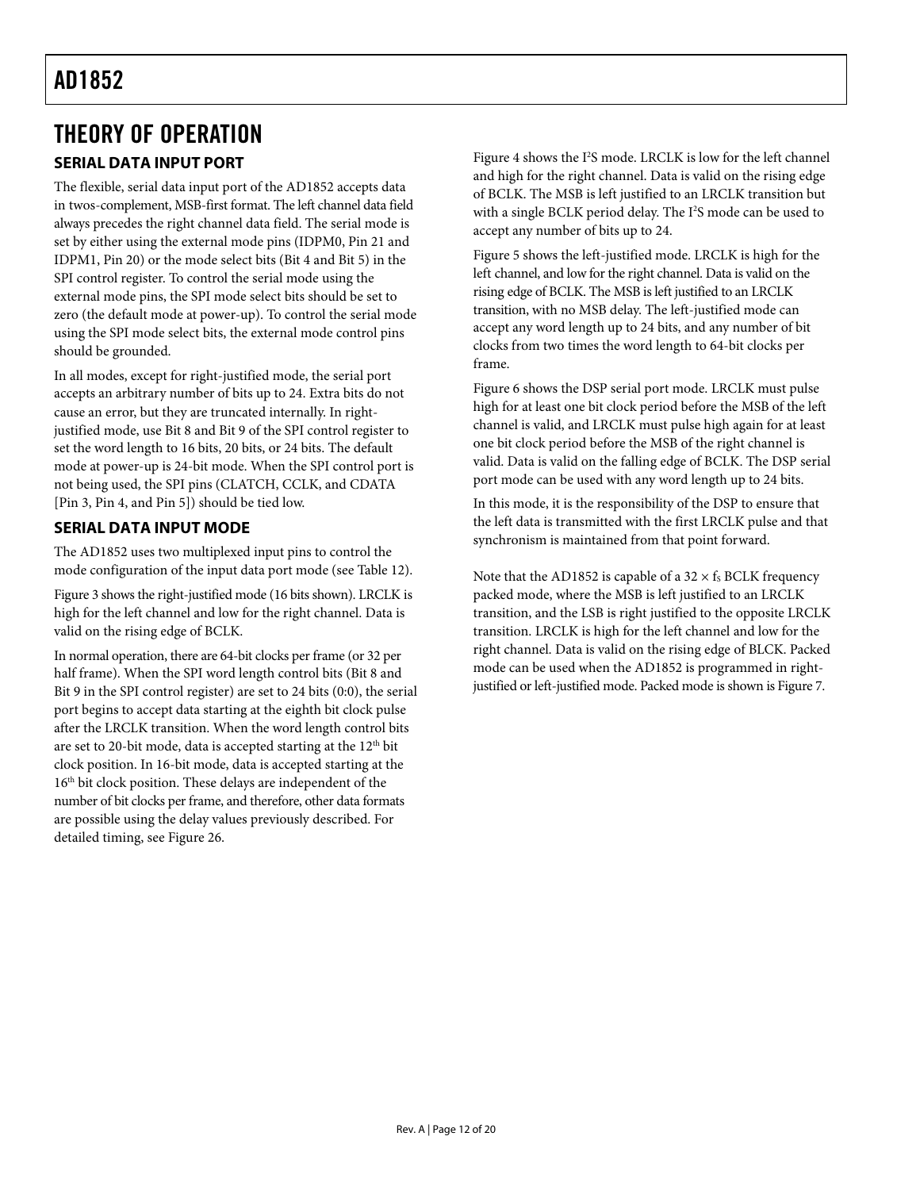# <span id="page-12-0"></span>THEORY OF OPERATION

### <span id="page-12-1"></span>**SERIAL DATA INPUT PORT**

The flexible, serial data input port of the AD1852 accepts data in twos-complement, MSB-first format. The left channel data field always precedes the right channel data field. The serial mode is set by either using the external mode pins (IDPM0, Pin 21 and IDPM1, Pin 20) or the mode select bits (Bit 4 and Bit 5) in the SPI control register. To control the serial mode using the external mode pins, the SPI mode select bits should be set to zero (the default mode at power-up). To control the serial mode using the SPI mode select bits, the external mode control pins should be grounded.

In all modes, except for right-justified mode, the serial port accepts an arbitrary number of bits up to 24. Extra bits do not cause an error, but they are truncated internally. In rightjustified mode, use Bit 8 and Bit 9 of the SPI control register to set the word length to 16 bits, 20 bits, or 24 bits. The default mode at power-up is 24-bit mode. When the SPI control port is not being used, the SPI pins (CLATCH, CCLK, and CDATA [Pin 3, Pin 4, and Pin 5]) should be tied low.

### **SERIAL DATA INPUT MODE**

The AD1852 uses two multiplexed input pins to control the mode configuration of the input data port mode (see [Table 12](#page-8-0)).

[Figure 3](#page-8-1) shows the right-justified mode (16 bits shown). LRCLK is high for the left channel and low for the right channel. Data is valid on the rising edge of BCLK.

In normal operation, there are 64-bit clocks per frame (or 32 per half frame). When the SPI word length control bits (Bit 8 and Bit 9 in the SPI control register) are set to 24 bits (0:0), the serial port begins to accept data starting at the eighth bit clock pulse after the LRCLK transition. When the word length control bits are set to 20-bit mode, data is accepted starting at the  $12<sup>th</sup>$  bit clock position. In 16-bit mode, data is accepted starting at the 16<sup>th</sup> bit clock position. These delays are independent of the number of bit clocks per frame, and therefore, other data formats are possible using the delay values previously described. For detailed timing, see [Figure 26](#page-13-1).

[Figure 4](#page-8-2) shows the I<sup>2</sup>S mode. LRCLK is low for the left channel and high for the right channel. Data is valid on the rising edge of BCLK. The MSB is left justified to an LRCLK transition but with a single BCLK period delay. The I<sup>2</sup>S mode can be used to accept any number of bits up to 24.

[Figure 5](#page-8-3) shows the left-justified mode. LRCLK is high for the left channel, and low for the right channel. Data is valid on the rising edge of BCLK. The MSB is left justified to an LRCLK transition, with no MSB delay. The left-justified mode can accept any word length up to 24 bits, and any number of bit clocks from two times the word length to 64-bit clocks per frame.

[Figure 6](#page-8-4) shows the DSP serial port mode. LRCLK must pulse high for at least one bit clock period before the MSB of the left channel is valid, and LRCLK must pulse high again for at least one bit clock period before the MSB of the right channel is valid. Data is valid on the falling edge of BCLK. The DSP serial port mode can be used with any word length up to 24 bits.

In this mode, it is the responsibility of the DSP to ensure that the left data is transmitted with the first LRCLK pulse and that synchronism is maintained from that point forward.

Note that the AD1852 is capable of a  $32 \times f_s$  BCLK frequency packed mode, where the MSB is left justified to an LRCLK transition, and the LSB is right justified to the opposite LRCLK transition. LRCLK is high for the left channel and low for the right channel. Data is valid on the rising edge of BLCK. Packed mode can be used when the AD1852 is programmed in rightjustified or left-justified mode. Packed mode is shown is [Figure 7](#page-8-5).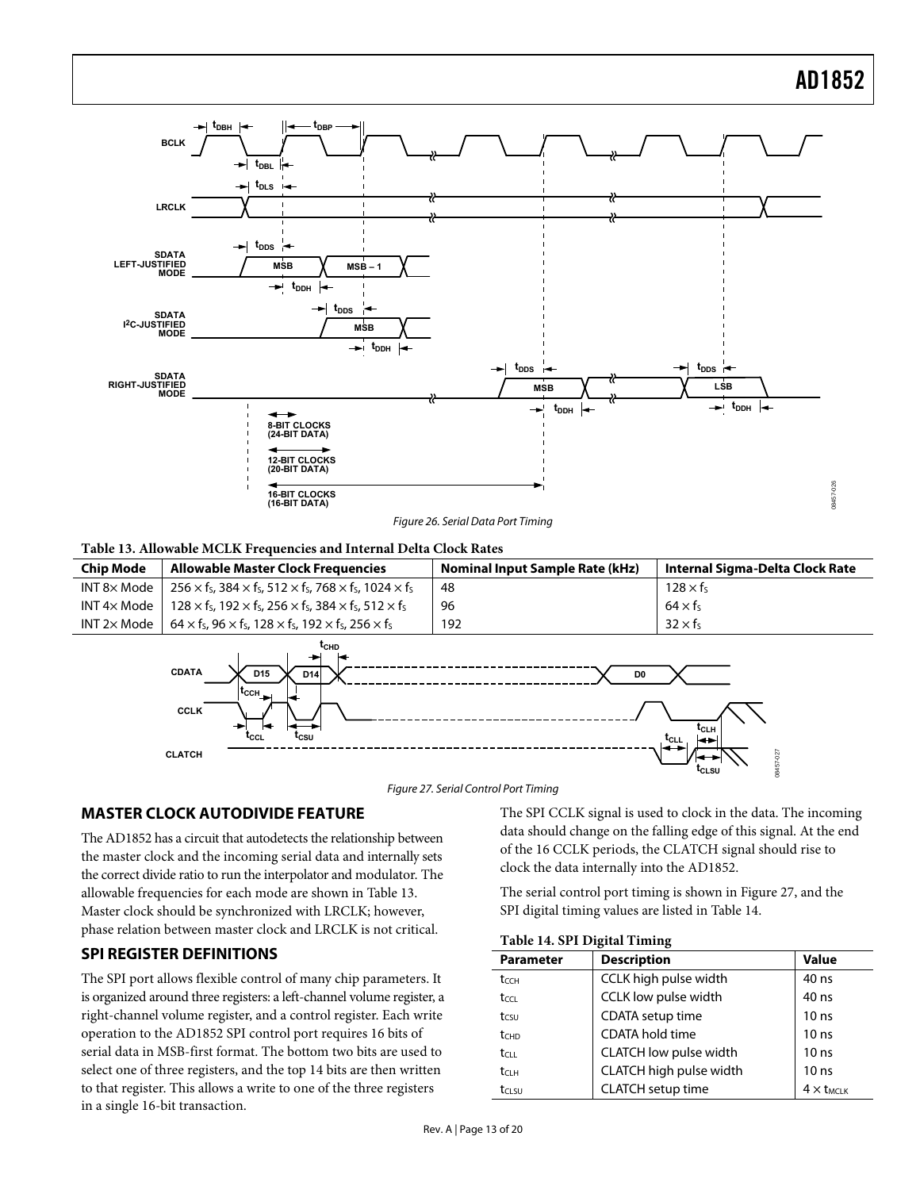<span id="page-13-0"></span>

#### **Table 13. Allowable MCLK Frequencies and Internal Delta Clock Rates**

<span id="page-13-3"></span><span id="page-13-1"></span>

| <b>Chip Mode</b>    | Allowable Master Clock Frequencies                                                                       | <b>Nominal Input Sample Rate (kHz)</b> | Internal Sigma-Delta Clock Rate |  |  |
|---------------------|----------------------------------------------------------------------------------------------------------|----------------------------------------|---------------------------------|--|--|
| $INT 8 \times Mode$ | 256 $\times$ fs, 384 $\times$ fs, 512 $\times$ fs, 768 $\times$ fs, 1024 $\times$ fs                     | 48                                     | $128 \times f_s$                |  |  |
|                     | INT 4x Mode   128 x fs, 192 x fs, 256 x fs, 384 x fs, 512 x fs                                           | 96                                     | $64 \times f_5$                 |  |  |
|                     | INT 2x Mode   $64 \times f_5$ , 96 $\times f_5$ , 128 $\times f_5$ , 192 $\times f_5$ , 256 $\times f_5$ | 192                                    | $32 \times f_5$                 |  |  |
|                     |                                                                                                          |                                        |                                 |  |  |



Figure 27. Serial Control Port Timing

#### <span id="page-13-4"></span>**MASTER CLOCK AUTODIVIDE FEATURE**

The AD1852 has a circuit that autodetects the relationship between the master clock and the incoming serial data and internally sets the correct divide ratio to run the interpolator and modulator. The allowable frequencies for each mode are shown in [Table 13](#page-13-3). Master clock should be synchronized with LRCLK; however, phase relation between master clock and LRCLK is not critical.

#### <span id="page-13-5"></span><span id="page-13-2"></span>**SPI REGISTER DEFINITIONS**

The SPI port allows flexible control of many chip parameters. It is organized around three registers: a left-channel volume register, a right-channel volume register, and a control register. Each write operation to the AD1852 SPI control port requires 16 bits of serial data in MSB-first format. The bottom two bits are used to select one of three registers, and the top 14 bits are then written to that register. This allows a write to one of the three registers in a single 16-bit transaction.

The SPI CCLK signal is used to clock in the data. The incoming data should change on the falling edge of this signal. At the end of the 16 CCLK periods, the CLATCH signal should rise to clock the data internally into the AD1852.

The serial control port timing is shown in [Figure 27,](#page-13-4) and the SPI digital timing values are listed in [Table 14](#page-13-5).

| <b>Parameter</b>   | <b>Description</b>       | Value             |
|--------------------|--------------------------|-------------------|
| tcch               | CCLK high pulse width    | 40 ns             |
| $t_{\text{CCL}}$   | CCLK low pulse width     | 40 ns             |
| tcsu               | CDATA setup time         | 10 <sub>ns</sub>  |
| t <sub>c</sub> HD  | CDATA hold time          | 10 <sub>ns</sub>  |
| $t_{C11}$          | CLATCH low pulse width   | 10 <sub>ns</sub>  |
| $t$ <sub>ClH</sub> | CLATCH high pulse width  | 10 <sub>ns</sub>  |
| tasu               | <b>CLATCH</b> setup time | $4 \times t$ MCIK |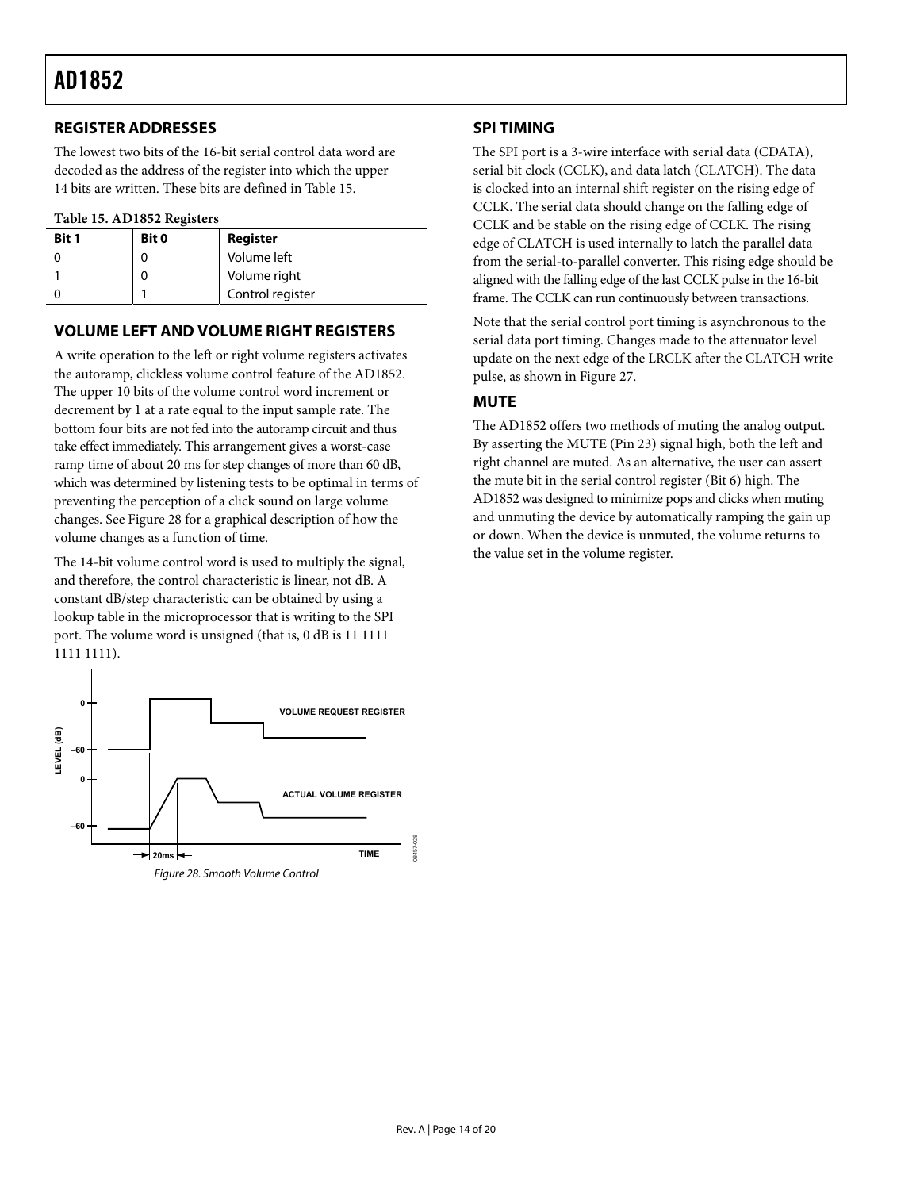#### <span id="page-14-0"></span>**REGISTER ADDRESSES**

The lowest two bits of the 16-bit serial control data word are decoded as the address of the register into which the upper 14 bits are written. These bits are defined in [Table 15](#page-14-1).

#### **Table 15. AD1852 Registers**

<span id="page-14-1"></span>

| <b>Bit 1</b> | Bit 0 | Register         |
|--------------|-------|------------------|
|              |       | Volume left      |
|              |       | Volume right     |
|              |       | Control register |

#### **VOLUME LEFT AND VOLUME RIGHT REGISTERS**

A write operation to the left or right volume registers activates the autoramp, clickless volume control feature of the AD1852. The upper 10 bits of the volume control word increment or decrement by 1 at a rate equal to the input sample rate. The bottom four bits are not fed into the autoramp circuit and thus take effect immediately. This arrangement gives a worst-case ramp time of about 20 ms for step changes of more than 60 dB, which was determined by listening tests to be optimal in terms of preventing the perception of a click sound on large volume changes. See [Figure 28](#page-14-2) for a graphical description of how the volume changes as a function of time.

The 14-bit volume control word is used to multiply the signal, and therefore, the control characteristic is linear, not dB. A constant dB/step characteristic can be obtained by using a lookup table in the microprocessor that is writing to the SPI port. The volume word is unsigned (that is, 0 dB is 11 1111 1111 1111).

<span id="page-14-2"></span>

#### **SPI TIMING**

The SPI port is a 3-wire interface with serial data (CDATA), serial bit clock (CCLK), and data latch (CLATCH). The data is clocked into an internal shift register on the rising edge of CCLK. The serial data should change on the falling edge of CCLK and be stable on the rising edge of CCLK. The rising edge of CLATCH is used internally to latch the parallel data from the serial-to-parallel converter. This rising edge should be aligned with the falling edge of the last CCLK pulse in the 16-bit frame. The CCLK can run continuously between transactions.

Note that the serial control port timing is asynchronous to the serial data port timing. Changes made to the attenuator level update on the next edge of the LRCLK after the CLATCH write pulse, as shown in [Figure 27](#page-13-4).

### **MUTE**

The AD1852 offers two methods of muting the analog output. By asserting the MUTE (Pin 23) signal high, both the left and right channel are muted. As an alternative, the user can assert the mute bit in the serial control register (Bit 6) high. The AD1852 was designed to minimize pops and clicks when muting and unmuting the device by automatically ramping the gain up or down. When the device is unmuted, the volume returns to the value set in the volume register.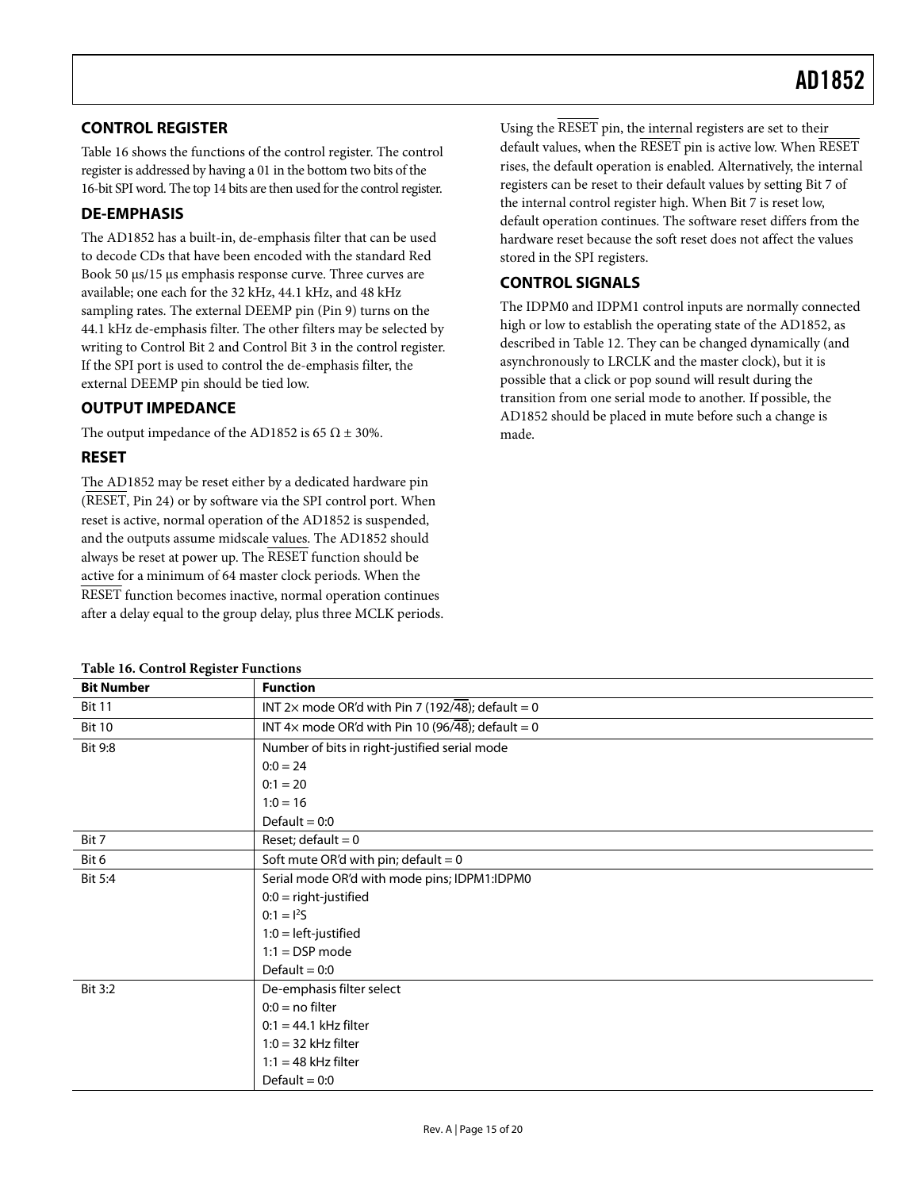#### <span id="page-15-0"></span>**CONTROL REGISTER**

[Table 16](#page-15-1) shows the functions of the control register. The control register is addressed by having a 01 in the bottom two bits of the 16-bit SPI word. The top 14 bits are then used for the control register.

#### **DE-EMPHASIS**

The AD1852 has a built-in, de-emphasis filter that can be used to decode CDs that have been encoded with the standard Red Book 50 μs/15 μs emphasis response curve. Three curves are available; one each for the 32 kHz, 44.1 kHz, and 48 kHz sampling rates. The external DEEMP pin (Pin 9) turns on the 44.1 kHz de-emphasis filter. The other filters may be selected by writing to Control Bit 2 and Control Bit 3 in the control register. If the SPI port is used to control the de-emphasis filter, the external DEEMP pin should be tied low.

#### **OUTPUT IMPEDANCE**

**Table 16. Control Register Functions** 

The output impedance of the AD1852 is 65  $\Omega \pm 30\%$ .

#### **RESET**

The AD1852 may be reset either by a dedicated hardware pin (RESET, Pin 24) or by software via the SPI control port. When reset is active, normal operation of the AD1852 is suspended, and the outputs assume midscale values. The AD1852 should always be reset at power up. The RESET function should be active for a minimum of 64 master clock periods. When the RESET function becomes inactive, normal operation continues after a delay equal to the group delay, plus three MCLK periods. Using the RESET pin, the internal registers are set to their default values, when the RESET pin is active low. When RESET rises, the default operation is enabled. Alternatively, the internal registers can be reset to their default values by setting Bit 7 of the internal control register high. When Bit 7 is reset low, default operation continues. The software reset differs from the hardware reset because the soft reset does not affect the values stored in the SPI registers.

#### **CONTROL SIGNALS**

The IDPM0 and IDPM1 control inputs are normally connected high or low to establish the operating state of the AD1852, as described in [Table 12](#page-8-0). They can be changed dynamically (and asynchronously to LRCLK and the master clock), but it is possible that a click or pop sound will result during the transition from one serial mode to another. If possible, the AD1852 should be placed in mute before such a change is made.

<span id="page-15-1"></span>

| <b>Bit Number</b> | <b>Function</b>                                   |  |  |
|-------------------|---------------------------------------------------|--|--|
| <b>Bit 11</b>     | INT 2x mode OR'd with Pin 7 (192/48); default = 0 |  |  |
| <b>Bit 10</b>     | INT 4x mode OR'd with Pin 10 (96/48); default = 0 |  |  |
| <b>Bit 9:8</b>    | Number of bits in right-justified serial mode     |  |  |
|                   | $0:0 = 24$                                        |  |  |
|                   | $0:1 = 20$                                        |  |  |
|                   | $1:0 = 16$                                        |  |  |
|                   | Default = $0:0$                                   |  |  |
| Bit 7             | Reset; default = $0$                              |  |  |
| Bit 6             | Soft mute OR'd with pin; default = $0$            |  |  |
| Bit 5:4           | Serial mode OR'd with mode pins; IDPM1:IDPM0      |  |  |
|                   | $0:0 =$ right-justified                           |  |  |
|                   | $0:1 = 12S$                                       |  |  |
|                   | $1:0 = left$ -justified                           |  |  |
|                   | $1:1 = DSP$ mode                                  |  |  |
|                   | Default = $0:0$                                   |  |  |
| Bit 3:2           | De-emphasis filter select                         |  |  |
|                   | $0:0 = no filter$                                 |  |  |
|                   | $0:1 = 44.1$ kHz filter                           |  |  |
|                   | $1:0 = 32$ kHz filter                             |  |  |
|                   | $1:1 = 48$ kHz filter                             |  |  |
|                   | Default = $0:0$                                   |  |  |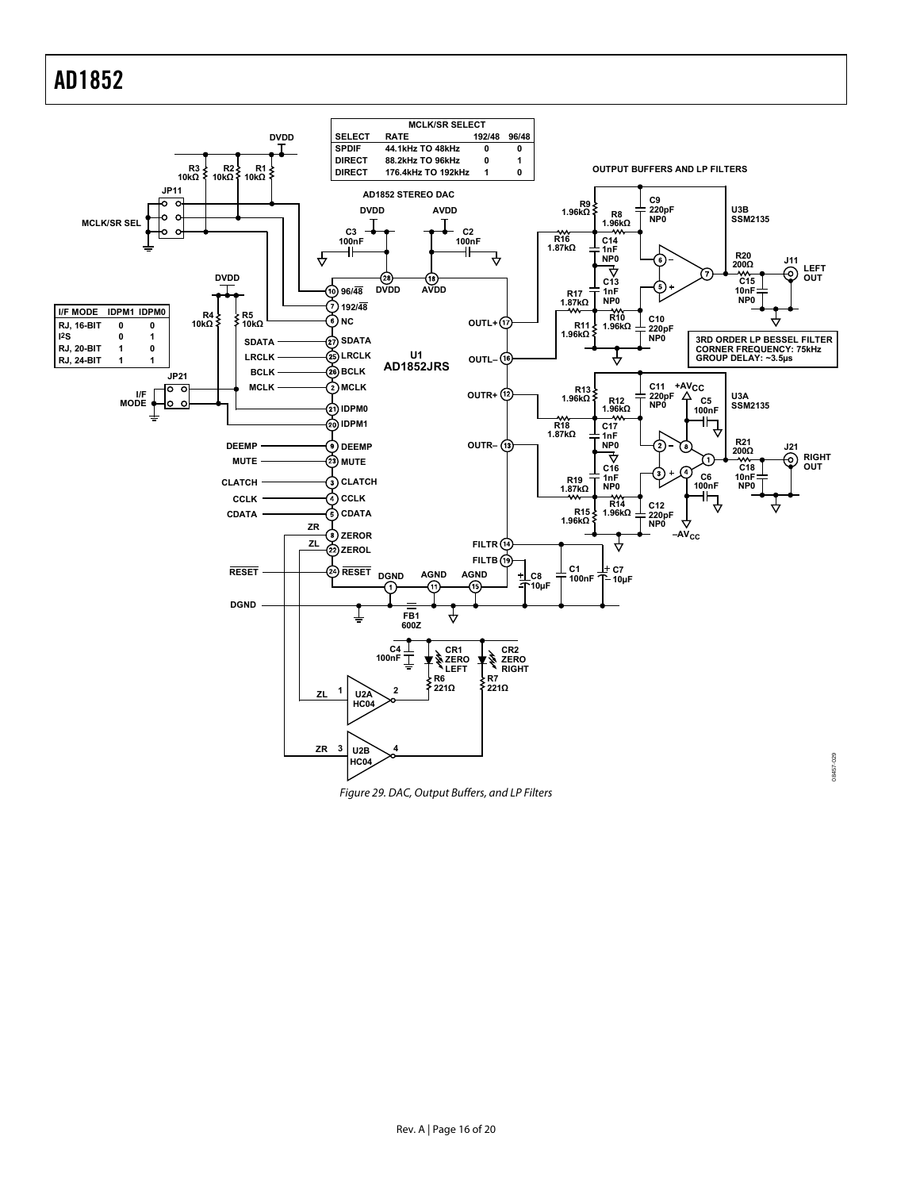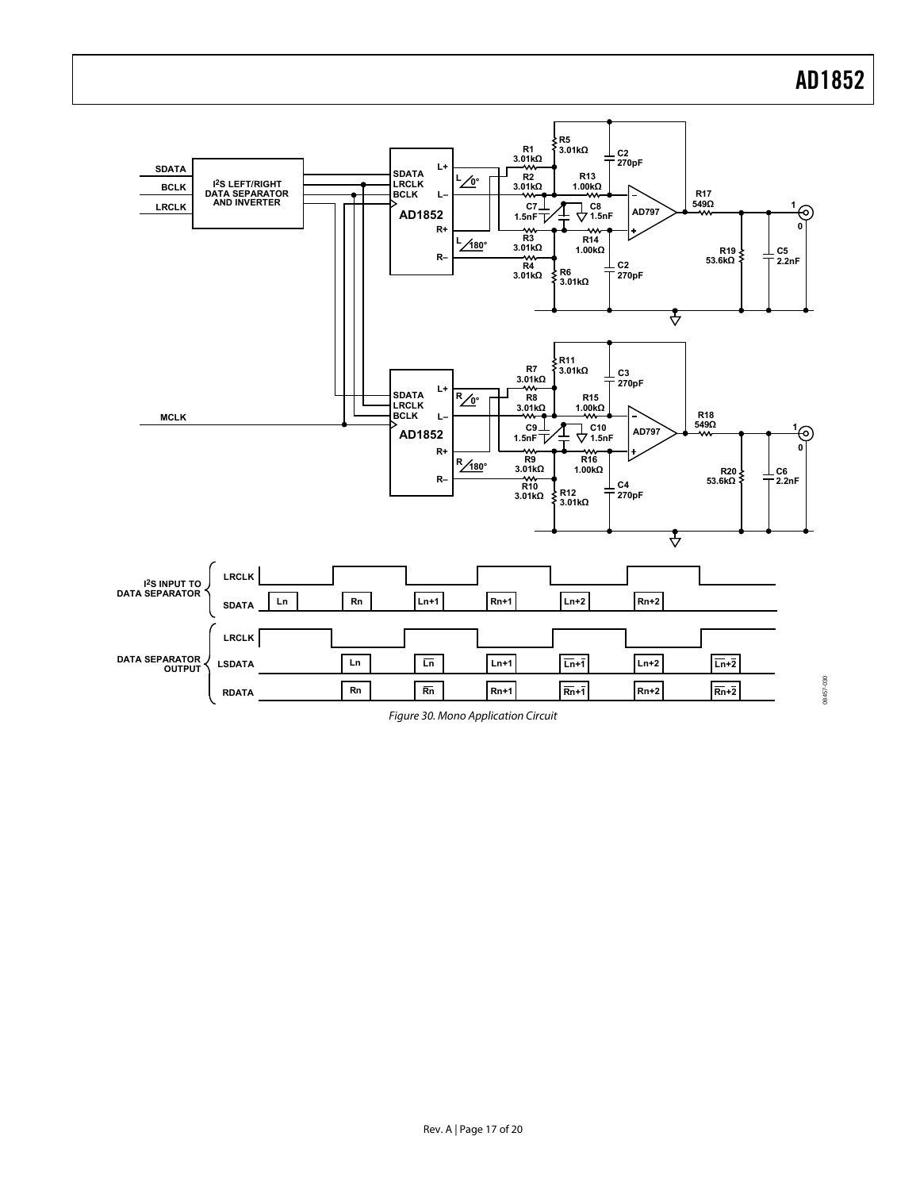08457-030



Figure 30. Mono Application Circuit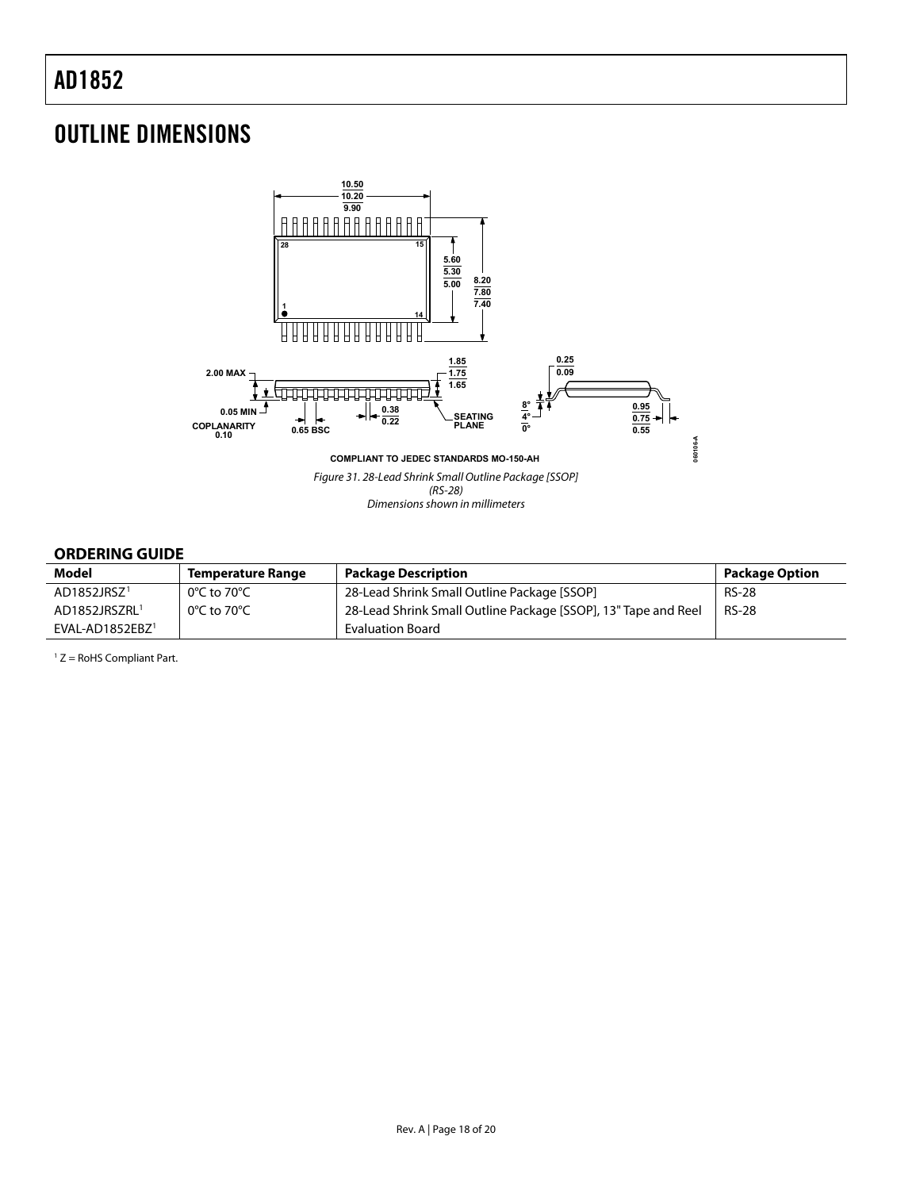# <span id="page-18-0"></span>OUTLINE DIMENSIONS



#### **ORDERING GUIDE**

<span id="page-18-1"></span>

| <b>Model</b>              | <b>Temperature Range</b> | <b>Package Description</b>                                     | <b>Package Option</b> |
|---------------------------|--------------------------|----------------------------------------------------------------|-----------------------|
| AD1852JRSZ <sup>1</sup>   | 0°C to 70°C              | 28-Lead Shrink Small Outline Package [SSOP]                    | <b>RS-28</b>          |
| AD1852JRSZRL <sup>1</sup> | 0°C to 70°C              | 28-Lead Shrink Small Outline Package [SSOP], 13" Tape and Reel | <b>RS-28</b>          |
| $EVAL-AD1852EBZ1$         |                          | <b>Evaluation Board</b>                                        |                       |

 $1 Z =$  RoHS Compliant Part.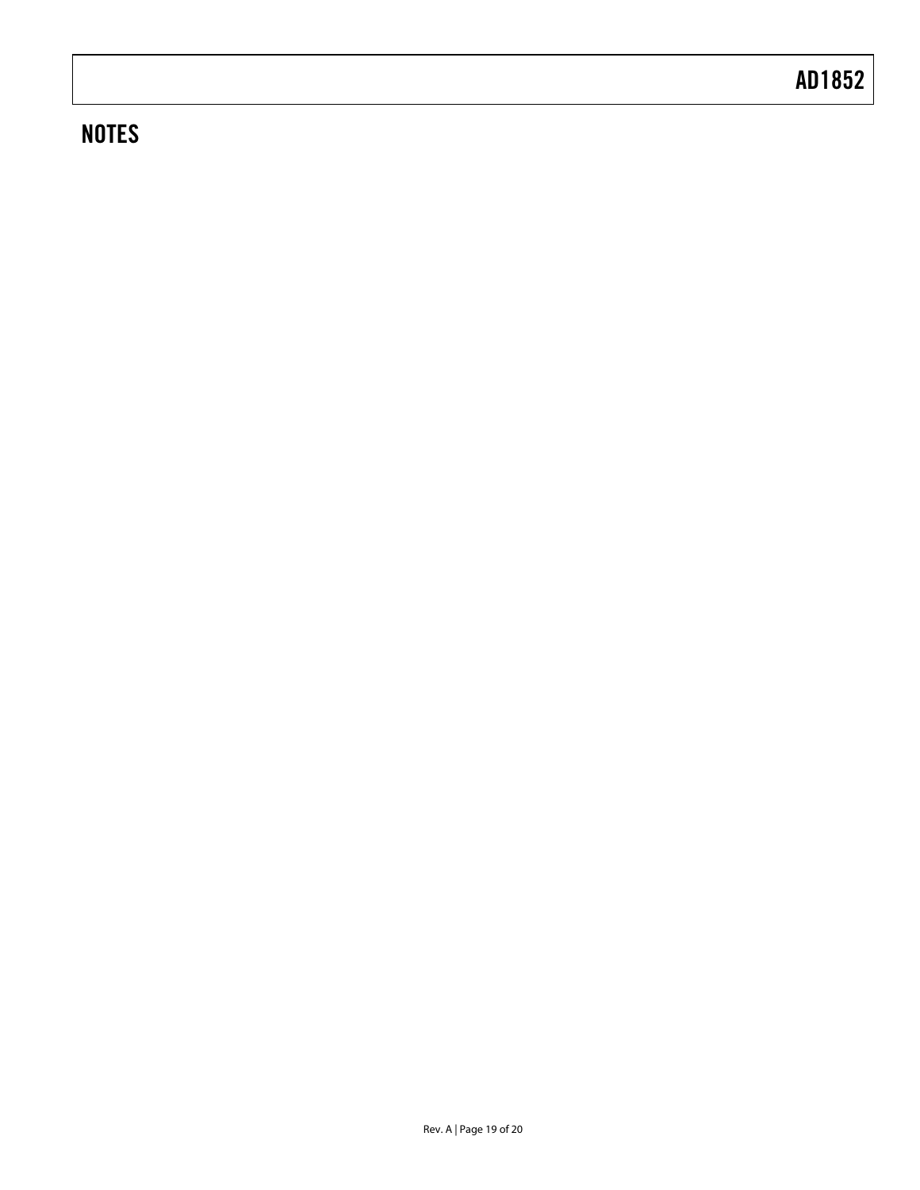# **NOTES**